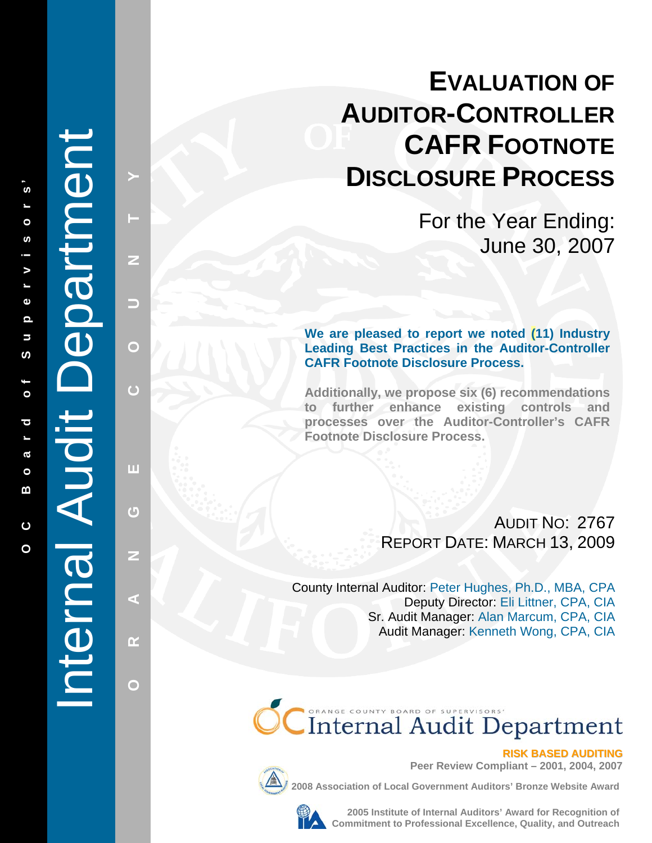# **EVALUATION OF AUDITOR-CONTROLLER CAFR FOOTNOTE DISCLOSURE PROCESS**

For the Year Ending: June 30, 2007

**We are pleased to report we noted (11) Industry Leading Best Practices in the Auditor-Controller CAFR Footnote Disclosure Process.** 

**Additionally, we propose six (6) recommendations to further enhance existing controls and processes over the Auditor-Controller's CAFR Footnote Disclosure Process.** 

> AUDIT NO: 2767 REPORT DATE : MARCH 13, 2009

County Internal Auditor: Peter Hughes, Ph.D., MBA, CPA Deputy Director: Eli Littner, CPA, CIA Sr. Audit Manager: Alan Marcum, CPA, CIA Audit Manager: Kenneth Wong, CPA, CIA





**Peer Review Compliant – 2001, 2004, 2007** 

**2008 Association of Local Government Auditors' Bronze Website Award**



**2005 Institute of Internal Auditors' Award for Recognition of Commitment Space Review Compliant - 2001, 2004, 2007**<br>Cociation of Local Government Auditors' Bronze Website Award<br>2005 Institute of Internal Auditors' Award for Recognition of<br>Commitment to Professional Excellence, Quali

# Internal Audit Department Internal Audit Department

**PHANGE COUNTY CO** 

ш

 $\overline{0}$ 

Z

∢

 $\alpha$ 

 $\mathbf O$ 

 $\overline{C}$ 

Z

▄

 $\bigcirc$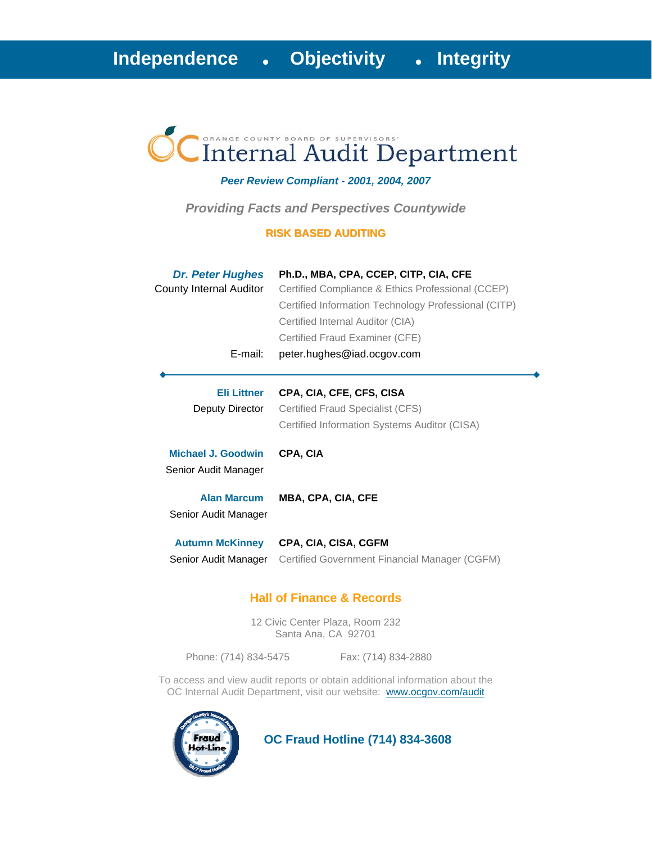# Internal Audit Department

### *Peer Review Compliant - 2001, 2004, 2007*

*Providing Facts and Perspectives Countywide* 

### **RISK BASED AUDITING**

| <b>Dr. Peter Hughes</b><br>County Internal Auditor<br>E-mail: | Ph.D., MBA, CPA, CCEP, CITP, CIA, CFE<br>Certified Compliance & Ethics Professional (CCEP)<br>Certified Information Technology Professional (CITP)<br>Certified Internal Auditor (CIA)<br>Certified Fraud Examiner (CFE)<br>peter.hughes@iad.ocgov.com |
|---------------------------------------------------------------|--------------------------------------------------------------------------------------------------------------------------------------------------------------------------------------------------------------------------------------------------------|
| <b>Eli Littner</b><br>Deputy Director                         | CPA, CIA, CFE, CFS, CISA<br>Certified Fraud Specialist (CFS)<br>Certified Information Systems Auditor (CISA)                                                                                                                                           |
| Michael J. Goodwin<br>Senior Audit Manager                    | CPA, CIA                                                                                                                                                                                                                                               |
| <b>Alan Marcum</b><br>Senior Audit Manager                    | <b>MBA, CPA, CIA, CFE</b>                                                                                                                                                                                                                              |
| <b>Autumn McKinney</b><br>Senior Audit Manager                | CPA, CIA, CISA, CGFM<br>Certified Government Financial Manager (CGFM)                                                                                                                                                                                  |

### **Hall of Finance & Records**

12 Civic Center Plaza, Room 232 Santa Ana, CA 92701

Phone: (714) 834-5475 Fax: (714) 834-2880

To access and view audit reports or obtain additional information about the OC Internal Audit Department, visit our website: www.ocgov.com/audit



 **OC Fraud Hotline (714) 834-3608**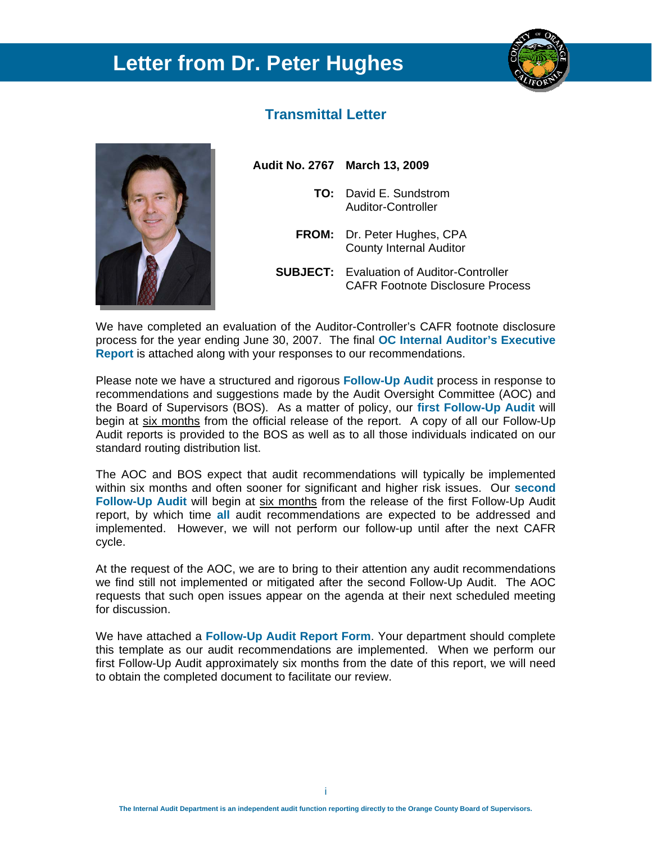# **Letter from Dr. Peter Hughes**



### **Transmittal Letter**



**Audit No. 2767 March 13, 2009** 

- **TO:** David E. Sundstrom Auditor-Controller
- **FROM:** Dr. Peter Hughes, CPA County Internal Auditor
- **SUBJECT:** Evaluation of Auditor-Controller CAFR Footnote Disclosure Process

We have completed an evaluation of the Auditor-Controller's CAFR footnote disclosure process for the year ending June 30, 2007. The final **OC Internal Auditor's Executive Report** is attached along with your responses to our recommendations.

Please note we have a structured and rigorous **Follow-Up Audit** process in response to recommendations and suggestions made by the Audit Oversight Committee (AOC) and the Board of Supervisors (BOS). As a matter of policy, our **first Follow-Up Audit** will begin at six months from the official release of the report. A copy of all our Follow-Up Audit reports is provided to the BOS as well as to all those individuals indicated on our standard routing distribution list.

The AOC and BOS expect that audit recommendations will typically be implemented within six months and often sooner for significant and higher risk issues. Our **second Follow-Up Audit** will begin at six months from the release of the first Follow-Up Audit report, by which time **all** audit recommendations are expected to be addressed and implemented. However, we will not perform our follow-up until after the next CAFR cycle.

At the request of the AOC, we are to bring to their attention any audit recommendations we find still not implemented or mitigated after the second Follow-Up Audit. The AOC requests that such open issues appear on the agenda at their next scheduled meeting for discussion.

We have attached a **Follow-Up Audit Report Form**. Your department should complete this template as our audit recommendations are implemented. When we perform our first Follow-Up Audit approximately six months from the date of this report, we will need to obtain the completed document to facilitate our review.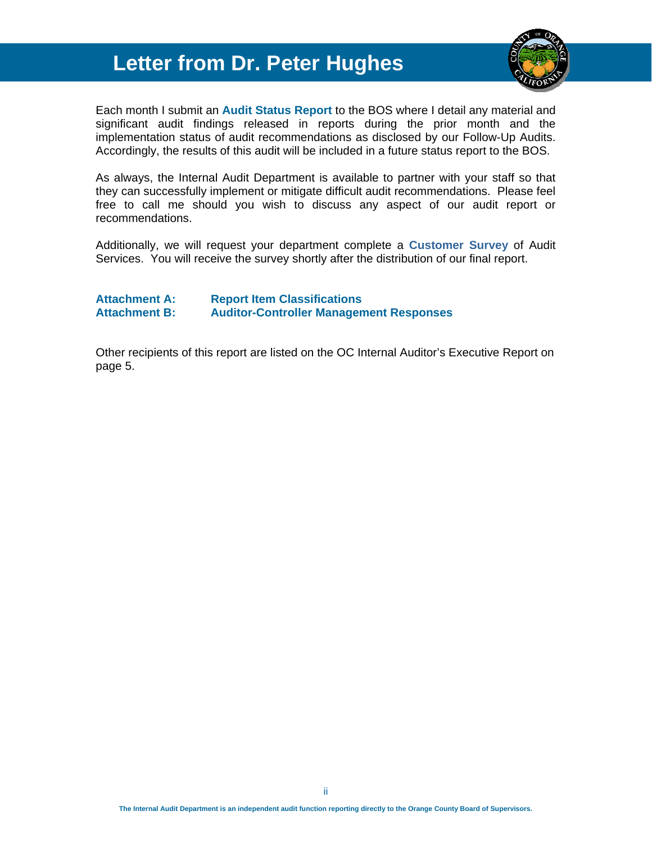# **Letter from Dr. Peter Hughes**



Each month I submit an **Audit Status Report** to the BOS where I detail any material and significant audit findings released in reports during the prior month and the implementation status of audit recommendations as disclosed by our Follow-Up Audits. Accordingly, the results of this audit will be included in a future status report to the BOS.

As always, the Internal Audit Department is available to partner with your staff so that they can successfully implement or mitigate difficult audit recommendations. Please feel free to call me should you wish to discuss any aspect of our audit report or recommendations.

Additionally, we will request your department complete a **Customer Survey** of Audit Services. You will receive the survey shortly after the distribution of our final report.

### **Attachment A: Report Item Classifications Attachment B: Auditor-Controller Management Responses**

Other recipients of this report are listed on the OC Internal Auditor's Executive Report on page 5.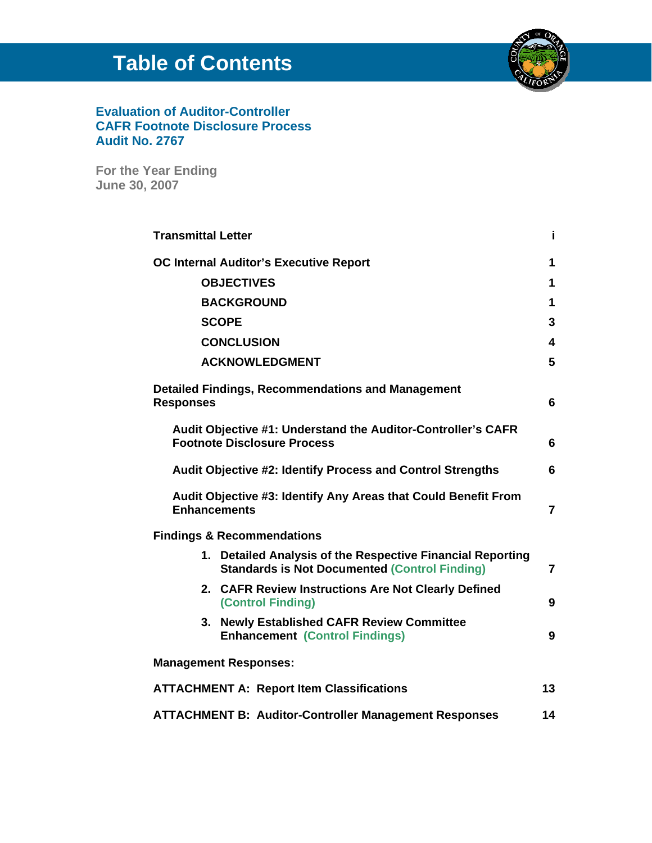# **Table of Contents**



### **Evaluation of Auditor-Controller CAFR Footnote Disclosure Process Audit No. 2767**

**For the Year Ending June 30, 2007**

| <b>Transmittal Letter</b> |                                                                                                                    | j.             |
|---------------------------|--------------------------------------------------------------------------------------------------------------------|----------------|
|                           | <b>OC Internal Auditor's Executive Report</b>                                                                      |                |
| <b>OBJECTIVES</b>         |                                                                                                                    | 1              |
|                           | <b>BACKGROUND</b>                                                                                                  | 1              |
|                           | <b>SCOPE</b>                                                                                                       | 3              |
|                           | <b>CONCLUSION</b>                                                                                                  | 4              |
|                           | <b>ACKNOWLEDGMENT</b>                                                                                              | 5              |
| <b>Responses</b>          | <b>Detailed Findings, Recommendations and Management</b>                                                           | 6              |
|                           | Audit Objective #1: Understand the Auditor-Controller's CAFR<br><b>Footnote Disclosure Process</b>                 | 6              |
|                           | <b>Audit Objective #2: Identify Process and Control Strengths</b>                                                  | 6              |
|                           | Audit Objective #3: Identify Any Areas that Could Benefit From<br><b>Enhancements</b>                              | $\overline{7}$ |
|                           | <b>Findings &amp; Recommendations</b>                                                                              |                |
|                           | 1. Detailed Analysis of the Respective Financial Reporting<br><b>Standards is Not Documented (Control Finding)</b> | $\overline{7}$ |
|                           | 2. CAFR Review Instructions Are Not Clearly Defined<br>(Control Finding)                                           | 9              |
|                           | 3. Newly Established CAFR Review Committee<br><b>Enhancement (Control Findings)</b>                                | 9              |
|                           | <b>Management Responses:</b>                                                                                       |                |
|                           | <b>ATTACHMENT A: Report Item Classifications</b>                                                                   | 13             |
|                           | <b>ATTACHMENT B: Auditor-Controller Management Responses</b>                                                       | 14             |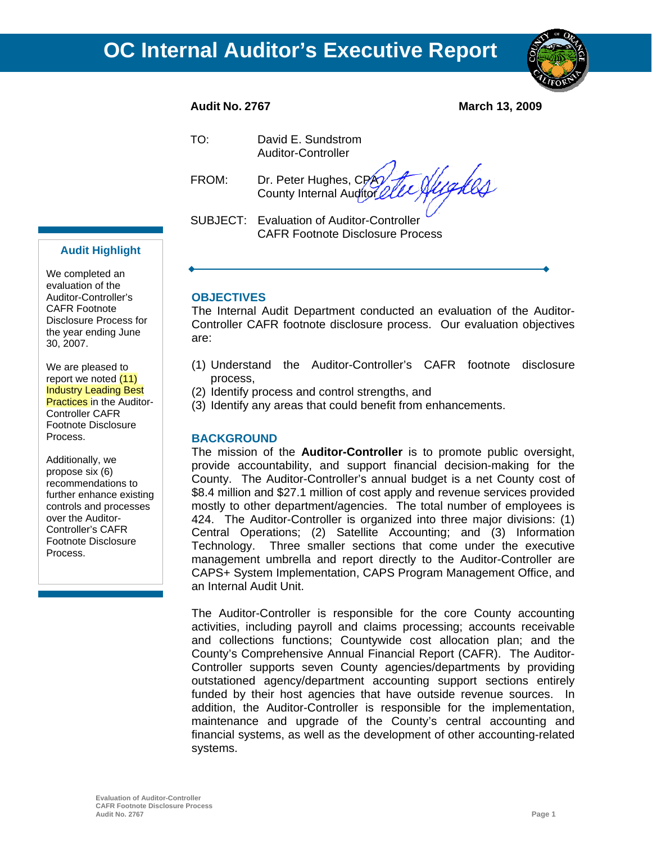

**Audit No. 2767 March 13, 2009** 

TO: David E. Sundstrom Auditor-Controller

Wakes FROM: Dr. Peter Hughes, CPA County Internal Auditor

SUBJECT: Evaluation of Auditor-Controller CAFR Footnote Disclosure Process

### **Audit Highlight**

We completed an evaluation of the Auditor-Controller's CAFR Footnote Disclosure Process for the year ending June 30, 2007.

We are pleased to report we noted (11) Industry Leading Best **Practices** in the Auditor-Controller CAFR Footnote Disclosure Process.

Additionally, we propose six (6) recommendations to further enhance existing controls and processes over the Auditor-Controller's CAFR Footnote Disclosure Process.

### **OBJECTIVES**

The Internal Audit Department conducted an evaluation of the Auditor-Controller CAFR footnote disclosure process. Our evaluation objectives are:

- (1) Understand the Auditor-Controller's CAFR footnote disclosure process,
- (2) Identify process and control strengths, and
- (3) Identify any areas that could benefit from enhancements.

### **BACKGROUND**

The mission of the **Auditor-Controller** is to promote public oversight, provide accountability, and support financial decision-making for the County. The Auditor-Controller's annual budget is a net County cost of \$8.4 million and \$27.1 million of cost apply and revenue services provided mostly to other department/agencies. The total number of employees is 424. The Auditor-Controller is organized into three major divisions: (1) Central Operations; (2) Satellite Accounting; and (3) Information Technology. Three smaller sections that come under the executive management umbrella and report directly to the Auditor-Controller are CAPS+ System Implementation, CAPS Program Management Office, and an Internal Audit Unit.

The Auditor-Controller is responsible for the core County accounting activities, including payroll and claims processing; accounts receivable and collections functions; Countywide cost allocation plan; and the County's Comprehensive Annual Financial Report (CAFR). The Auditor-Controller supports seven County agencies/departments by providing outstationed agency/department accounting support sections entirely funded by their host agencies that have outside revenue sources. In addition, the Auditor-Controller is responsible for the implementation, maintenance and upgrade of the County's central accounting and financial systems, as well as the development of other accounting-related systems.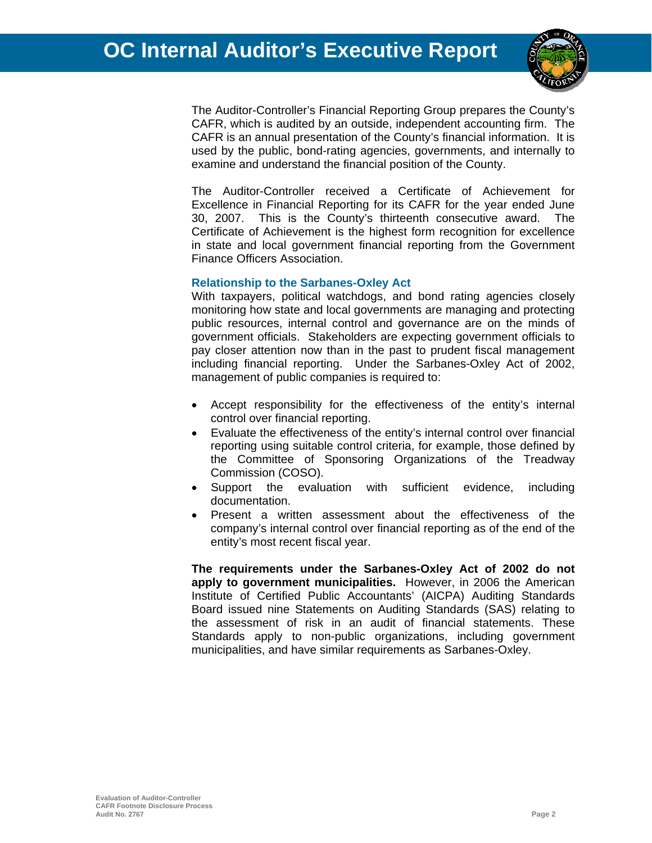

The Auditor-Controller's Financial Reporting Group prepares the County's CAFR, which is audited by an outside, independent accounting firm. The CAFR is an annual presentation of the County's financial information. It is used by the public, bond-rating agencies, governments, and internally to examine and understand the financial position of the County.

The Auditor-Controller received a Certificate of Achievement for Excellence in Financial Reporting for its CAFR for the year ended June 30, 2007. This is the County's thirteenth consecutive award. The Certificate of Achievement is the highest form recognition for excellence in state and local government financial reporting from the Government Finance Officers Association.

### **Relationship to the Sarbanes-Oxley Act**

With taxpayers, political watchdogs, and bond rating agencies closely monitoring how state and local governments are managing and protecting public resources, internal control and governance are on the minds of government officials. Stakeholders are expecting government officials to pay closer attention now than in the past to prudent fiscal management including financial reporting. Under the Sarbanes-Oxley Act of 2002, management of public companies is required to:

- Accept responsibility for the effectiveness of the entity's internal control over financial reporting.
- Evaluate the effectiveness of the entity's internal control over financial reporting using suitable control criteria, for example, those defined by the Committee of Sponsoring Organizations of the Treadway Commission (COSO).
- Support the evaluation with sufficient evidence, including documentation.
- Present a written assessment about the effectiveness of the company's internal control over financial reporting as of the end of the entity's most recent fiscal year.

**The requirements under the Sarbanes-Oxley Act of 2002 do not apply to government municipalities.** However, in 2006 the American Institute of Certified Public Accountants' (AICPA) Auditing Standards Board issued nine Statements on Auditing Standards (SAS) relating to the assessment of risk in an audit of financial statements. These Standards apply to non-public organizations, including government municipalities, and have similar requirements as Sarbanes-Oxley.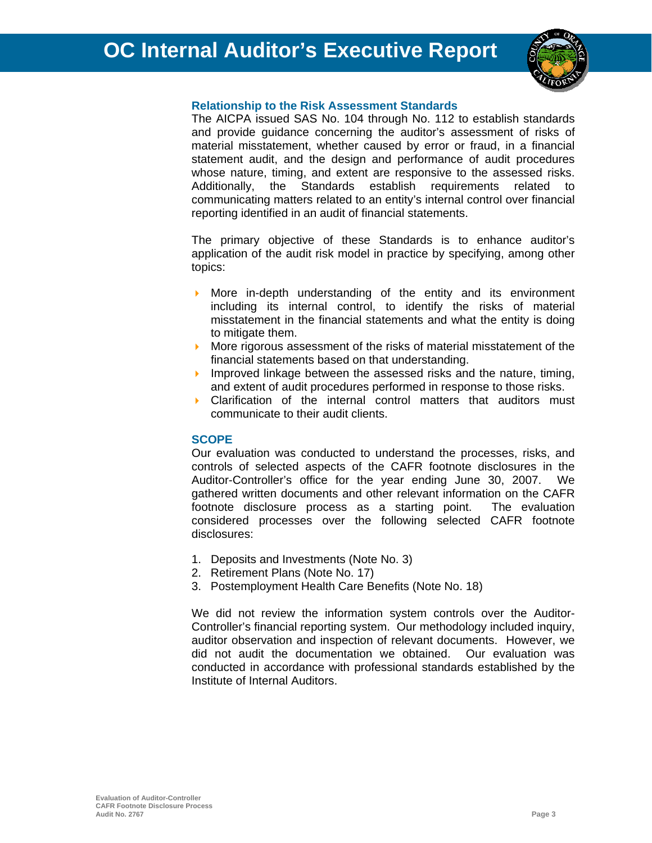

### **Relationship to the Risk Assessment Standards**

The AICPA issued SAS No. 104 through No. 112 to establish standards and provide guidance concerning the auditor's assessment of risks of material misstatement, whether caused by error or fraud, in a financial statement audit, and the design and performance of audit procedures whose nature, timing, and extent are responsive to the assessed risks. Additionally, the Standards establish requirements related to communicating matters related to an entity's internal control over financial reporting identified in an audit of financial statements.

The primary objective of these Standards is to enhance auditor's application of the audit risk model in practice by specifying, among other topics:

- More in-depth understanding of the entity and its environment including its internal control, to identify the risks of material misstatement in the financial statements and what the entity is doing to mitigate them.
- **More rigorous assessment of the risks of material misstatement of the** financial statements based on that understanding.
- Improved linkage between the assessed risks and the nature, timing, and extent of audit procedures performed in response to those risks.
- Clarification of the internal control matters that auditors must communicate to their audit clients.

### **SCOPE**

Our evaluation was conducted to understand the processes, risks, and controls of selected aspects of the CAFR footnote disclosures in the Auditor-Controller's office for the year ending June 30, 2007. We gathered written documents and other relevant information on the CAFR footnote disclosure process as a starting point. The evaluation considered processes over the following selected CAFR footnote disclosures:

- 1. Deposits and Investments (Note No. 3)
- 2. Retirement Plans (Note No. 17)
- 3. Postemployment Health Care Benefits (Note No. 18)

We did not review the information system controls over the Auditor-Controller's financial reporting system. Our methodology included inquiry, auditor observation and inspection of relevant documents. However, we did not audit the documentation we obtained. Our evaluation was conducted in accordance with professional standards established by the Institute of Internal Auditors.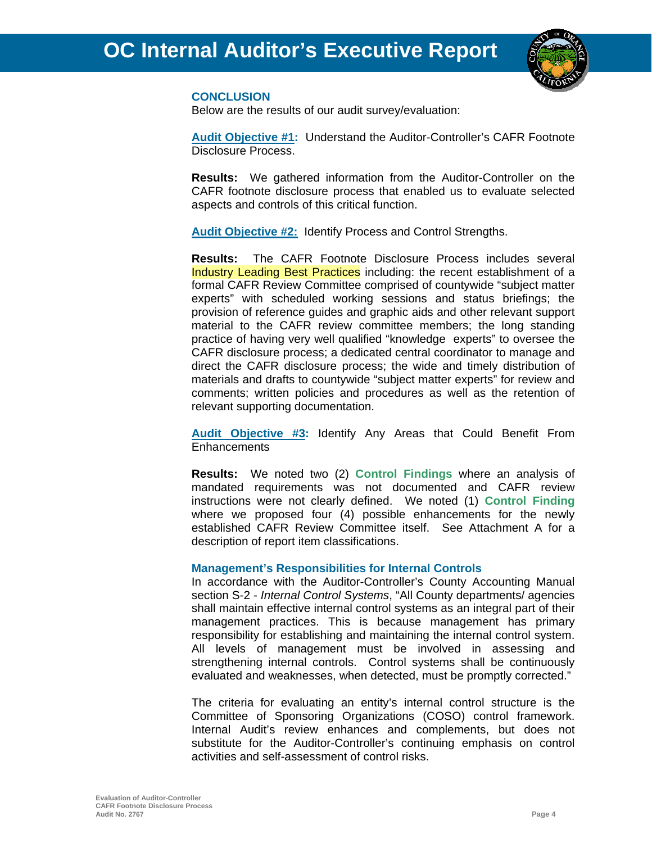

### **CONCLUSION**

Below are the results of our audit survey/evaluation:

**Audit Objective #1:** Understand the Auditor-Controller's CAFR Footnote Disclosure Process.

**Results:** We gathered information from the Auditor-Controller on the CAFR footnote disclosure process that enabled us to evaluate selected aspects and controls of this critical function.

**Audit Objective #2:** Identify Process and Control Strengths.

**Results:** The CAFR Footnote Disclosure Process includes several Industry Leading Best Practices including: the recent establishment of a formal CAFR Review Committee comprised of countywide "subject matter experts" with scheduled working sessions and status briefings; the provision of reference guides and graphic aids and other relevant support material to the CAFR review committee members; the long standing practice of having very well qualified "knowledge experts" to oversee the CAFR disclosure process; a dedicated central coordinator to manage and direct the CAFR disclosure process; the wide and timely distribution of materials and drafts to countywide "subject matter experts" for review and comments; written policies and procedures as well as the retention of relevant supporting documentation.

**Audit Objective #3:** Identify Any Areas that Could Benefit From **Enhancements** 

**Results:** We noted two (2) **Control Findings** where an analysis of mandated requirements was not documented and CAFR review instructions were not clearly defined. We noted (1) **Control Finding** where we proposed four (4) possible enhancements for the newly established CAFR Review Committee itself. See Attachment A for a description of report item classifications.

### **Management's Responsibilities for Internal Controls**

In accordance with the Auditor-Controller's County Accounting Manual section S-2 - *Internal Control Systems*, "All County departments/ agencies shall maintain effective internal control systems as an integral part of their management practices. This is because management has primary responsibility for establishing and maintaining the internal control system. All levels of management must be involved in assessing and strengthening internal controls. Control systems shall be continuously evaluated and weaknesses, when detected, must be promptly corrected."

The criteria for evaluating an entity's internal control structure is the Committee of Sponsoring Organizations (COSO) control framework. Internal Audit's review enhances and complements, but does not substitute for the Auditor-Controller's continuing emphasis on control activities and self-assessment of control risks.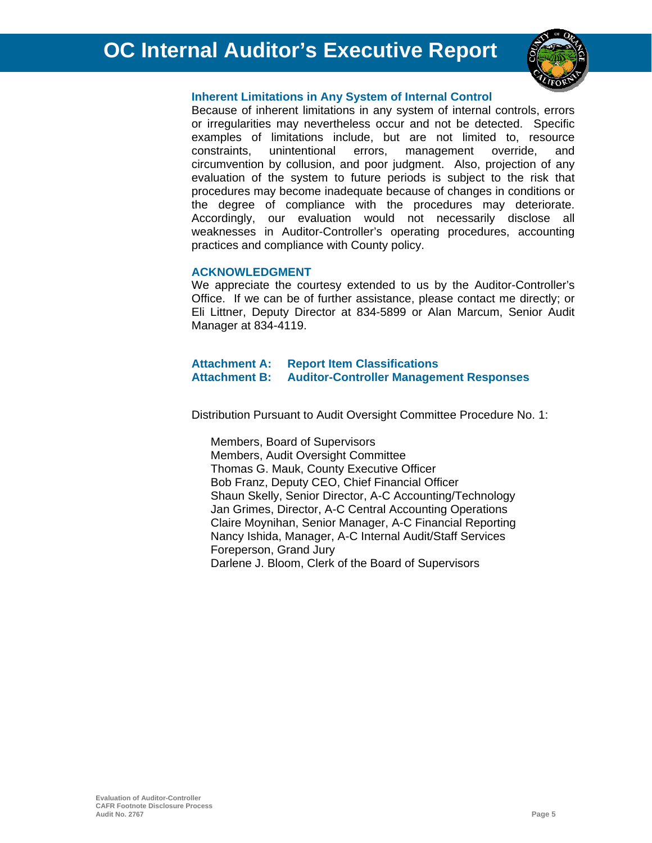

### **Inherent Limitations in Any System of Internal Control**

Because of inherent limitations in any system of internal controls, errors or irregularities may nevertheless occur and not be detected. Specific examples of limitations include, but are not limited to, resource constraints, unintentional errors, management override, and circumvention by collusion, and poor judgment. Also, projection of any evaluation of the system to future periods is subject to the risk that procedures may become inadequate because of changes in conditions or the degree of compliance with the procedures may deteriorate. Accordingly, our evaluation would not necessarily disclose all weaknesses in Auditor-Controller's operating procedures, accounting practices and compliance with County policy.

### **ACKNOWLEDGMENT**

We appreciate the courtesy extended to us by the Auditor-Controller's Office. If we can be of further assistance, please contact me directly; or Eli Littner, Deputy Director at 834-5899 or Alan Marcum, Senior Audit Manager at 834-4119.

### **Attachment A: Report Item Classifications Attachment B: Auditor-Controller Management Responses**

Distribution Pursuant to Audit Oversight Committee Procedure No. 1:

Members, Board of Supervisors Members, Audit Oversight Committee Thomas G. Mauk, County Executive Officer Bob Franz, Deputy CEO, Chief Financial Officer Shaun Skelly, Senior Director, A-C Accounting/Technology Jan Grimes, Director, A-C Central Accounting Operations Claire Moynihan, Senior Manager, A-C Financial Reporting Nancy Ishida, Manager, A-C Internal Audit/Staff Services Foreperson, Grand Jury Darlene J. Bloom, Clerk of the Board of Supervisors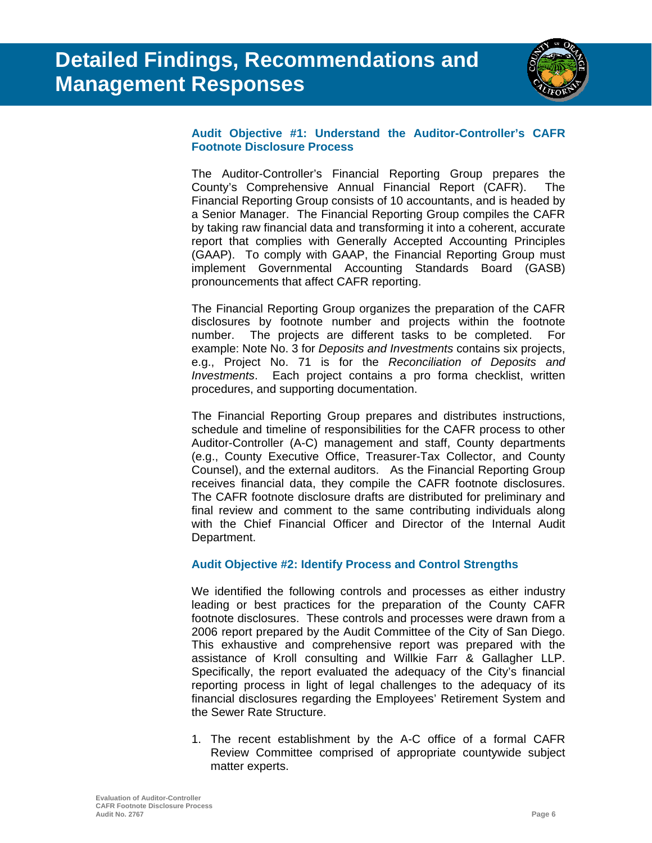

### **Audit Objective #1: Understand the Auditor-Controller's CAFR Footnote Disclosure Process**

The Auditor-Controller's Financial Reporting Group prepares the County's Comprehensive Annual Financial Report (CAFR). The Financial Reporting Group consists of 10 accountants, and is headed by a Senior Manager. The Financial Reporting Group compiles the CAFR by taking raw financial data and transforming it into a coherent, accurate report that complies with Generally Accepted Accounting Principles (GAAP). To comply with GAAP, the Financial Reporting Group must implement Governmental Accounting Standards Board (GASB) pronouncements that affect CAFR reporting.

The Financial Reporting Group organizes the preparation of the CAFR disclosures by footnote number and projects within the footnote number. The projects are different tasks to be completed. For example: Note No. 3 for *Deposits and Investments* contains six projects, e.g., Project No. 71 is for the *Reconciliation of Deposits and Investments*. Each project contains a pro forma checklist, written procedures, and supporting documentation.

The Financial Reporting Group prepares and distributes instructions, schedule and timeline of responsibilities for the CAFR process to other Auditor-Controller (A-C) management and staff, County departments (e.g., County Executive Office, Treasurer-Tax Collector, and County Counsel), and the external auditors. As the Financial Reporting Group receives financial data, they compile the CAFR footnote disclosures. The CAFR footnote disclosure drafts are distributed for preliminary and final review and comment to the same contributing individuals along with the Chief Financial Officer and Director of the Internal Audit Department.

### **Audit Objective #2: Identify Process and Control Strengths**

We identified the following controls and processes as either industry leading or best practices for the preparation of the County CAFR footnote disclosures. These controls and processes were drawn from a 2006 report prepared by the Audit Committee of the City of San Diego. This exhaustive and comprehensive report was prepared with the assistance of Kroll consulting and Willkie Farr & Gallagher LLP. Specifically, the report evaluated the adequacy of the City's financial reporting process in light of legal challenges to the adequacy of its financial disclosures regarding the Employees' Retirement System and the Sewer Rate Structure.

1. The recent establishment by the A-C office of a formal CAFR Review Committee comprised of appropriate countywide subject matter experts.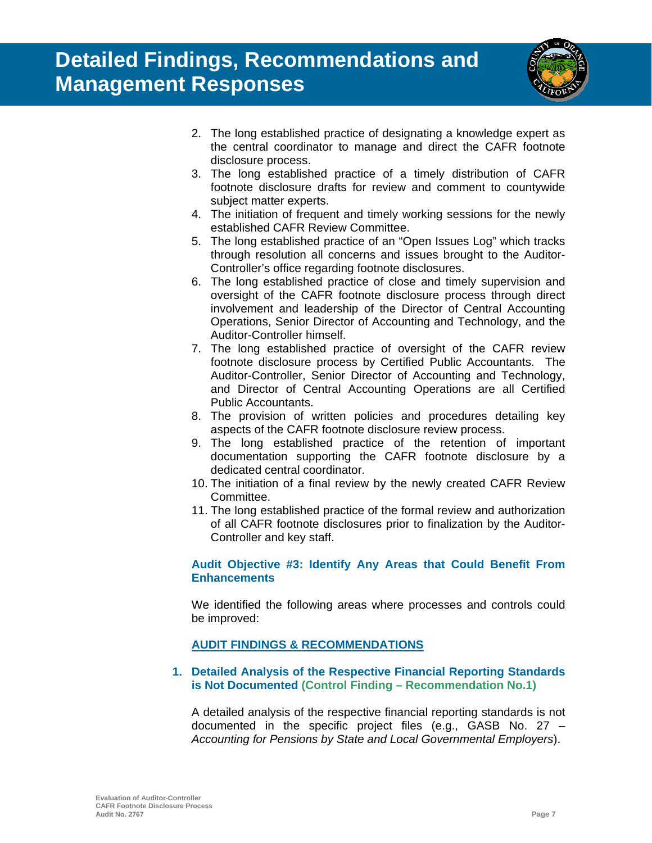

- 2. The long established practice of designating a knowledge expert as the central coordinator to manage and direct the CAFR footnote disclosure process.
- 3. The long established practice of a timely distribution of CAFR footnote disclosure drafts for review and comment to countywide subject matter experts.
- 4. The initiation of frequent and timely working sessions for the newly established CAFR Review Committee.
- 5. The long established practice of an "Open Issues Log" which tracks through resolution all concerns and issues brought to the Auditor-Controller's office regarding footnote disclosures.
- 6. The long established practice of close and timely supervision and oversight of the CAFR footnote disclosure process through direct involvement and leadership of the Director of Central Accounting Operations, Senior Director of Accounting and Technology, and the Auditor-Controller himself.
- 7. The long established practice of oversight of the CAFR review footnote disclosure process by Certified Public Accountants. The Auditor-Controller, Senior Director of Accounting and Technology, and Director of Central Accounting Operations are all Certified Public Accountants.
- 8. The provision of written policies and procedures detailing key aspects of the CAFR footnote disclosure review process.
- 9. The long established practice of the retention of important documentation supporting the CAFR footnote disclosure by a dedicated central coordinator.
- 10. The initiation of a final review by the newly created CAFR Review Committee.
- 11. The long established practice of the formal review and authorization of all CAFR footnote disclosures prior to finalization by the Auditor-Controller and key staff.

### **Audit Objective #3: Identify Any Areas that Could Benefit From Enhancements**

We identified the following areas where processes and controls could be improved:

### **AUDIT FINDINGS & RECOMMENDATIONS**

### **1. Detailed Analysis of the Respective Financial Reporting Standards is Not Documented (Control Finding – Recommendation No.1)**

A detailed analysis of the respective financial reporting standards is not documented in the specific project files (e.g., GASB No. 27 – *Accounting for Pensions by State and Local Governmental Employers*).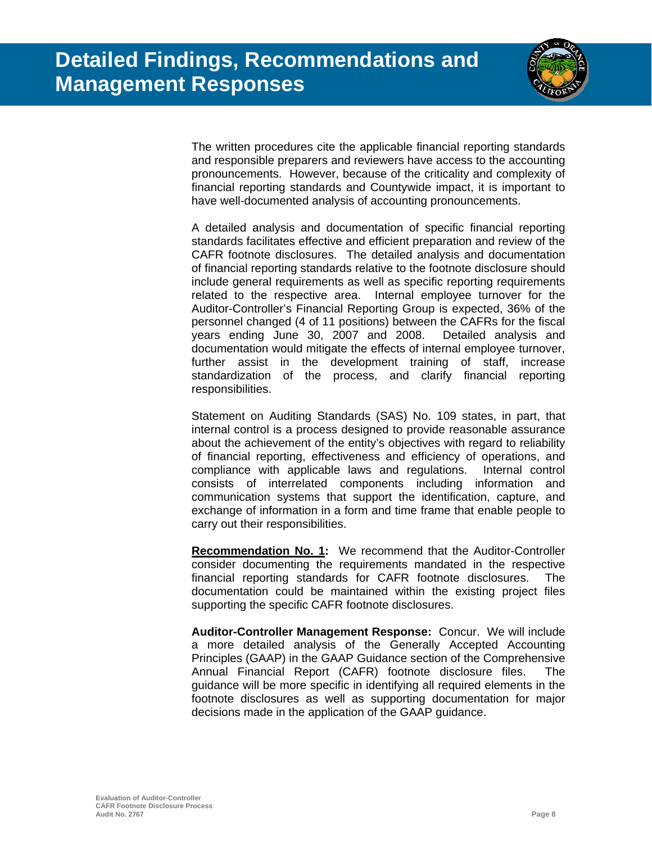

The written procedures cite the applicable financial reporting standards and responsible preparers and reviewers have access to the accounting pronouncements. However, because of the criticality and complexity of financial reporting standards and Countywide impact, it is important to have well-documented analysis of accounting pronouncements.

A detailed analysis and documentation of specific financial reporting standards facilitates effective and efficient preparation and review of the CAFR footnote disclosures. The detailed analysis and documentation of financial reporting standards relative to the footnote disclosure should include general requirements as well as specific reporting requirements related to the respective area. Internal employee turnover for the Auditor-Controller's Financial Reporting Group is expected, 36% of the personnel changed (4 of 11 positions) between the CAFRs for the fiscal years ending June 30, 2007 and 2008. Detailed analysis and documentation would mitigate the effects of internal employee turnover, further assist in the development training of staff, increase standardization of the process, and clarify financial reporting responsibilities.

Statement on Auditing Standards (SAS) No. 109 states, in part, that internal control is a process designed to provide reasonable assurance about the achievement of the entity's objectives with regard to reliability of financial reporting, effectiveness and efficiency of operations, and compliance with applicable laws and regulations. Internal control consists of interrelated components including information and communication systems that support the identification, capture, and exchange of information in a form and time frame that enable people to carry out their responsibilities.

**Recommendation No. 1:** We recommend that the Auditor-Controller consider documenting the requirements mandated in the respective financial reporting standards for CAFR footnote disclosures. The documentation could be maintained within the existing project files supporting the specific CAFR footnote disclosures.

**Auditor-Controller Management Response:** Concur. We will include a more detailed analysis of the Generally Accepted Accounting Principles (GAAP) in the GAAP Guidance section of the Comprehensive Annual Financial Report (CAFR) footnote disclosure files. The guidance will be more specific in identifying all required elements in the footnote disclosures as well as supporting documentation for major decisions made in the application of the GAAP guidance.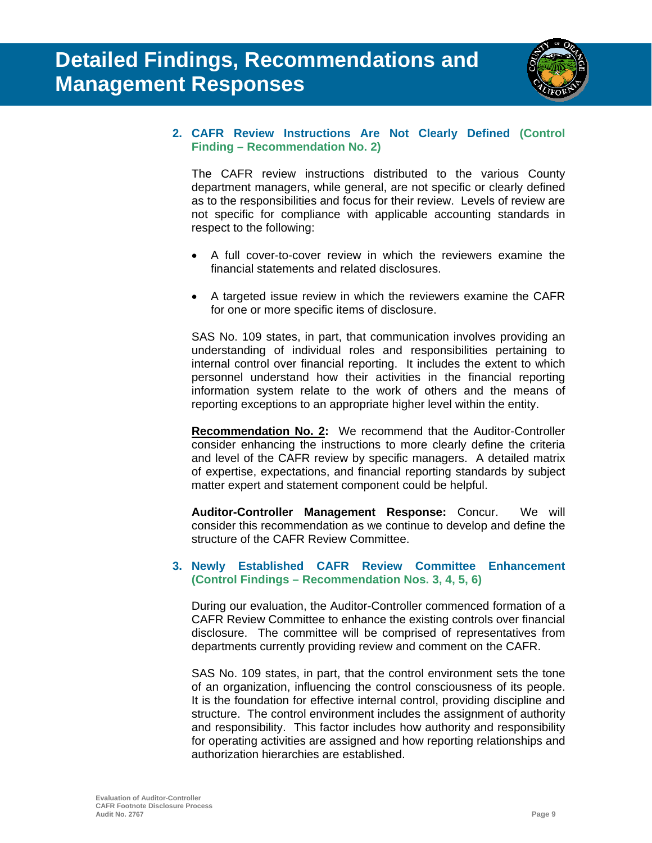

### **2. CAFR Review Instructions Are Not Clearly Defined (Control Finding – Recommendation No. 2)**

The CAFR review instructions distributed to the various County department managers, while general, are not specific or clearly defined as to the responsibilities and focus for their review. Levels of review are not specific for compliance with applicable accounting standards in respect to the following:

- A full cover-to-cover review in which the reviewers examine the financial statements and related disclosures.
- A targeted issue review in which the reviewers examine the CAFR for one or more specific items of disclosure.

SAS No. 109 states, in part, that communication involves providing an understanding of individual roles and responsibilities pertaining to internal control over financial reporting. It includes the extent to which personnel understand how their activities in the financial reporting information system relate to the work of others and the means of reporting exceptions to an appropriate higher level within the entity.

**Recommendation No. 2:** We recommend that the Auditor-Controller consider enhancing the instructions to more clearly define the criteria and level of the CAFR review by specific managers. A detailed matrix of expertise, expectations, and financial reporting standards by subject matter expert and statement component could be helpful.

**Auditor-Controller Management Response:** Concur. We will consider this recommendation as we continue to develop and define the structure of the CAFR Review Committee.

### **3. Newly Established CAFR Review Committee Enhancement (Control Findings – Recommendation Nos. 3, 4, 5, 6)**

During our evaluation, the Auditor-Controller commenced formation of a CAFR Review Committee to enhance the existing controls over financial disclosure. The committee will be comprised of representatives from departments currently providing review and comment on the CAFR.

SAS No. 109 states, in part, that the control environment sets the tone of an organization, influencing the control consciousness of its people. It is the foundation for effective internal control, providing discipline and structure. The control environment includes the assignment of authority and responsibility. This factor includes how authority and responsibility for operating activities are assigned and how reporting relationships and authorization hierarchies are established.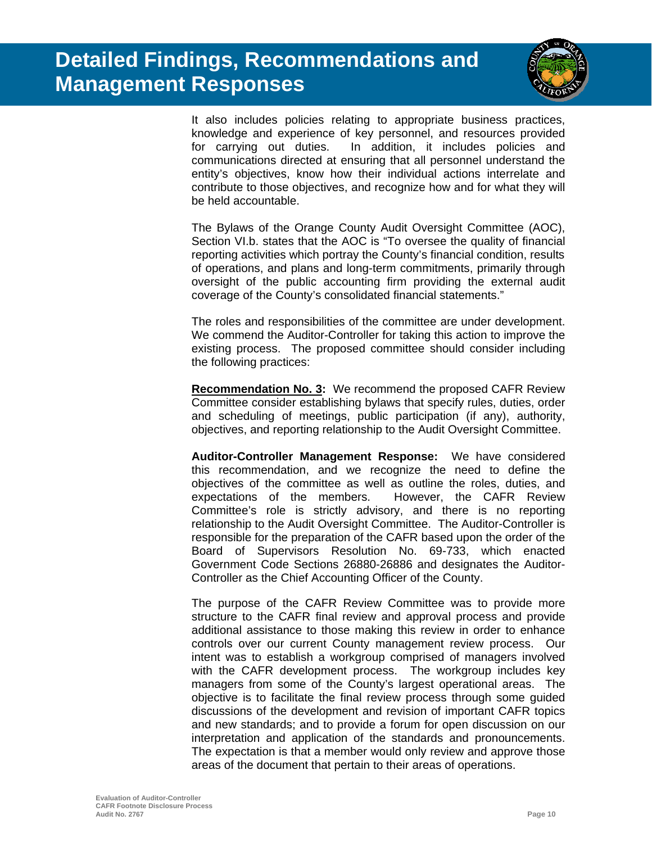

It also includes policies relating to appropriate business practices, knowledge and experience of key personnel, and resources provided for carrying out duties. In addition, it includes policies and communications directed at ensuring that all personnel understand the entity's objectives, know how their individual actions interrelate and contribute to those objectives, and recognize how and for what they will be held accountable.

The Bylaws of the Orange County Audit Oversight Committee (AOC), Section VI.b. states that the AOC is "To oversee the quality of financial reporting activities which portray the County's financial condition, results of operations, and plans and long-term commitments, primarily through oversight of the public accounting firm providing the external audit coverage of the County's consolidated financial statements."

The roles and responsibilities of the committee are under development. We commend the Auditor-Controller for taking this action to improve the existing process. The proposed committee should consider including the following practices:

**Recommendation No. 3:** We recommend the proposed CAFR Review Committee consider establishing bylaws that specify rules, duties, order and scheduling of meetings, public participation (if any), authority, objectives, and reporting relationship to the Audit Oversight Committee.

**Auditor-Controller Management Response:** We have considered this recommendation, and we recognize the need to define the objectives of the committee as well as outline the roles, duties, and expectations of the members. However, the CAFR Review Committee's role is strictly advisory, and there is no reporting relationship to the Audit Oversight Committee. The Auditor-Controller is responsible for the preparation of the CAFR based upon the order of the Board of Supervisors Resolution No. 69-733, which enacted Government Code Sections 26880-26886 and designates the Auditor-Controller as the Chief Accounting Officer of the County.

The purpose of the CAFR Review Committee was to provide more structure to the CAFR final review and approval process and provide additional assistance to those making this review in order to enhance controls over our current County management review process. Our intent was to establish a workgroup comprised of managers involved with the CAFR development process. The workgroup includes key managers from some of the County's largest operational areas. The objective is to facilitate the final review process through some guided discussions of the development and revision of important CAFR topics and new standards; and to provide a forum for open discussion on our interpretation and application of the standards and pronouncements. The expectation is that a member would only review and approve those areas of the document that pertain to their areas of operations.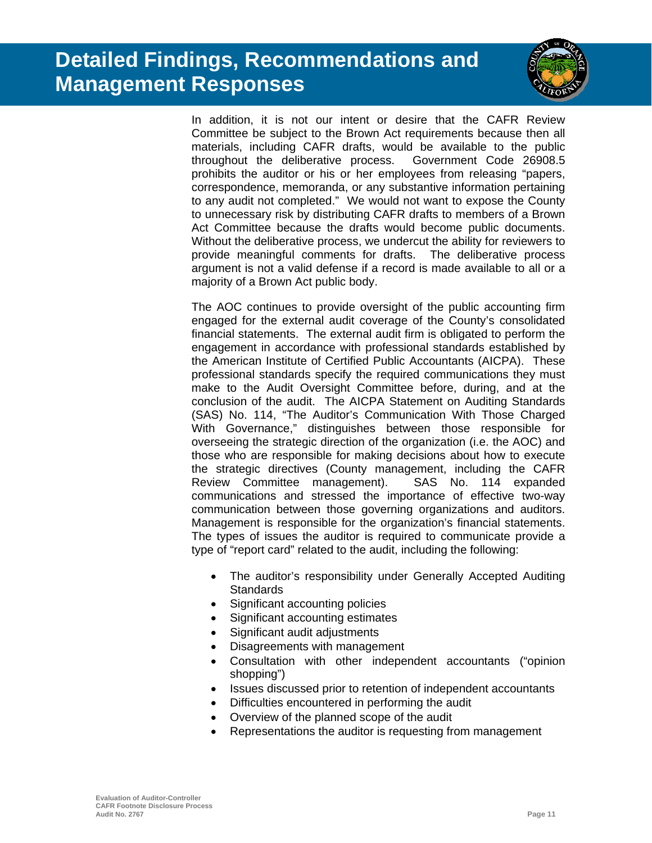

In addition, it is not our intent or desire that the CAFR Review Committee be subject to the Brown Act requirements because then all materials, including CAFR drafts, would be available to the public throughout the deliberative process. Government Code 26908.5 prohibits the auditor or his or her employees from releasing "papers, correspondence, memoranda, or any substantive information pertaining to any audit not completed." We would not want to expose the County to unnecessary risk by distributing CAFR drafts to members of a Brown Act Committee because the drafts would become public documents. Without the deliberative process, we undercut the ability for reviewers to provide meaningful comments for drafts. The deliberative process argument is not a valid defense if a record is made available to all or a majority of a Brown Act public body.

The AOC continues to provide oversight of the public accounting firm engaged for the external audit coverage of the County's consolidated financial statements. The external audit firm is obligated to perform the engagement in accordance with professional standards established by the American Institute of Certified Public Accountants (AICPA). These professional standards specify the required communications they must make to the Audit Oversight Committee before, during, and at the conclusion of the audit. The AICPA Statement on Auditing Standards (SAS) No. 114, "The Auditor's Communication With Those Charged With Governance," distinguishes between those responsible for overseeing the strategic direction of the organization (i.e. the AOC) and those who are responsible for making decisions about how to execute the strategic directives (County management, including the CAFR Review Committee management). SAS No. 114 expanded communications and stressed the importance of effective two-way communication between those governing organizations and auditors. Management is responsible for the organization's financial statements. The types of issues the auditor is required to communicate provide a type of "report card" related to the audit, including the following:

- The auditor's responsibility under Generally Accepted Auditing **Standards**
- Significant accounting policies
- Significant accounting estimates
- Significant audit adjustments
- Disagreements with management
- Consultation with other independent accountants ("opinion shopping")
- Issues discussed prior to retention of independent accountants
- Difficulties encountered in performing the audit
- Overview of the planned scope of the audit
- Representations the auditor is requesting from management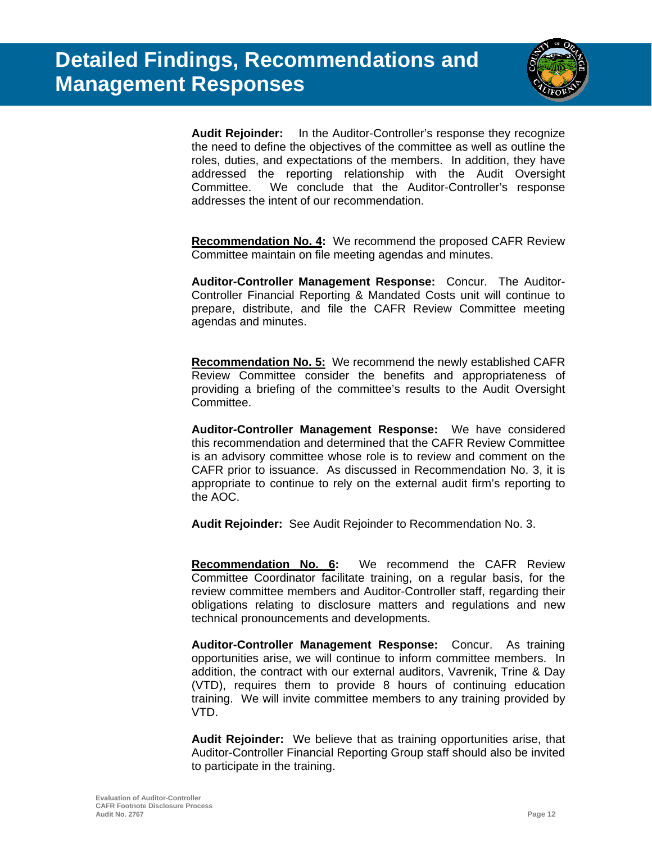

**Audit Rejoinder:** In the Auditor-Controller's response they recognize the need to define the objectives of the committee as well as outline the roles, duties, and expectations of the members. In addition, they have addressed the reporting relationship with the Audit Oversight Committee. We conclude that the Auditor-Controller's response addresses the intent of our recommendation.

**Recommendation No. 4:** We recommend the proposed CAFR Review Committee maintain on file meeting agendas and minutes.

**Auditor-Controller Management Response:** Concur. The Auditor-Controller Financial Reporting & Mandated Costs unit will continue to prepare, distribute, and file the CAFR Review Committee meeting agendas and minutes.

**Recommendation No. 5:** We recommend the newly established CAFR Review Committee consider the benefits and appropriateness of providing a briefing of the committee's results to the Audit Oversight Committee.

**Auditor-Controller Management Response:** We have considered this recommendation and determined that the CAFR Review Committee is an advisory committee whose role is to review and comment on the CAFR prior to issuance. As discussed in Recommendation No. 3, it is appropriate to continue to rely on the external audit firm's reporting to the AOC.

**Audit Rejoinder:** See Audit Rejoinder to Recommendation No. 3.

**Recommendation No. 6:** We recommend the CAFR Review Committee Coordinator facilitate training, on a regular basis, for the review committee members and Auditor-Controller staff, regarding their obligations relating to disclosure matters and regulations and new technical pronouncements and developments.

**Auditor-Controller Management Response:** Concur. As training opportunities arise, we will continue to inform committee members. In addition, the contract with our external auditors, Vavrenik, Trine & Day (VTD), requires them to provide 8 hours of continuing education training. We will invite committee members to any training provided by VTD.

**Audit Rejoinder:** We believe that as training opportunities arise, that Auditor-Controller Financial Reporting Group staff should also be invited to participate in the training.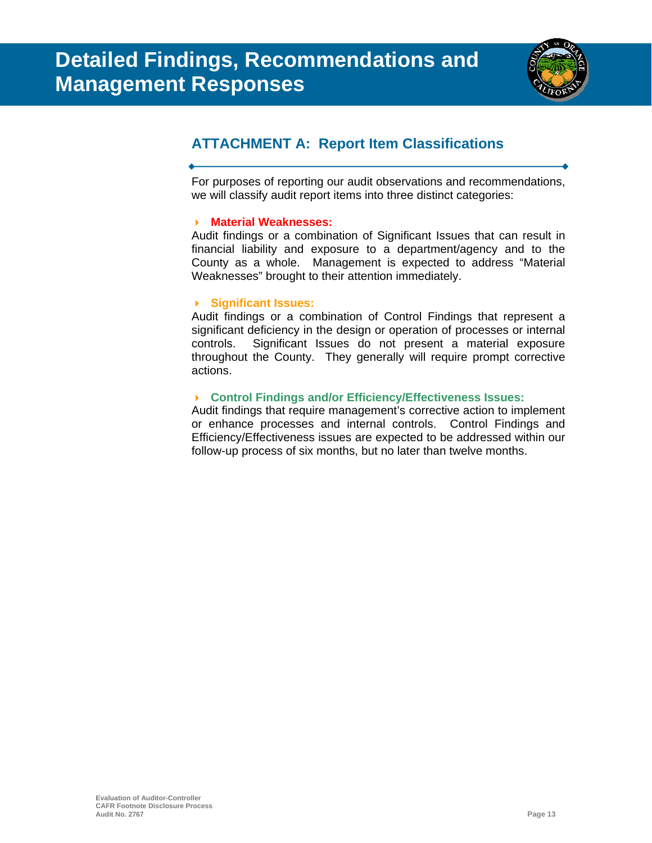

### **ATTACHMENT A: Report Item Classifications**

For purposes of reporting our audit observations and recommendations, we will classify audit report items into three distinct categories:

### **Material Weaknesses:**

Audit findings or a combination of Significant Issues that can result in financial liability and exposure to a department/agency and to the County as a whole. Management is expected to address "Material Weaknesses" brought to their attention immediately.

### **Significant Issues:**

Audit findings or a combination of Control Findings that represent a significant deficiency in the design or operation of processes or internal controls. Significant Issues do not present a material exposure throughout the County. They generally will require prompt corrective actions.

### **Control Findings and/or Efficiency/Effectiveness Issues:**

Audit findings that require management's corrective action to implement or enhance processes and internal controls. Control Findings and Efficiency/Effectiveness issues are expected to be addressed within our follow-up process of six months, but no later than twelve months.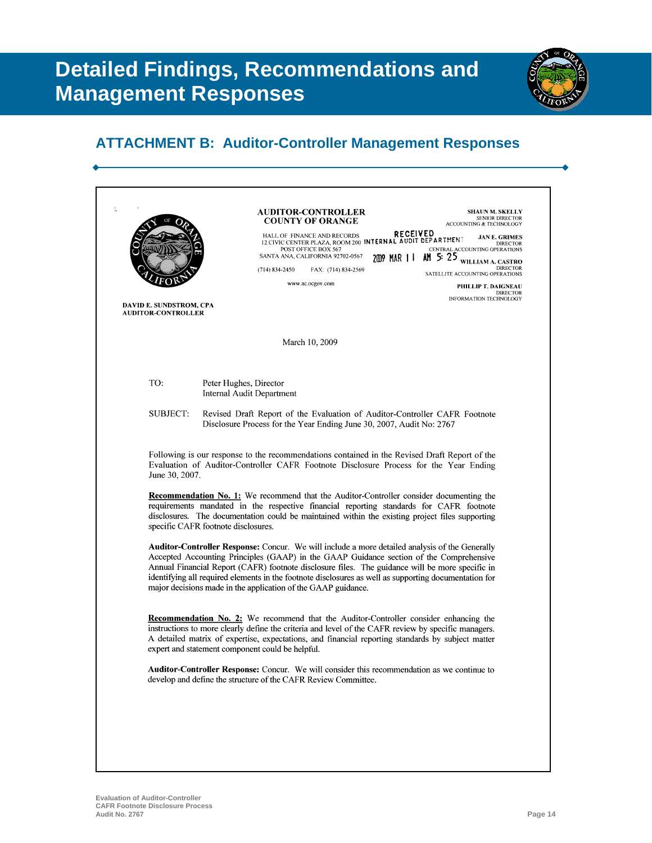

| <b>COUNTY OF ORANGE</b><br>HALL OF FINANCE AND RECORDS<br>12 CIVIC CENTER PLAZA, ROOM 200 INTERNAL AUDIT BEPARTHEN?<br>POST OFFICE BOX 567<br>2009 MAR 1   AM 5: 25 WILLIAM A. CASTRO<br>SANTA ANA, CALIFORNIA 92702-0567<br>$(714) 834 - 2450$<br>FAX: (714) 834-2569<br>www.ac.ocgov.com<br>DAVID E. SUNDSTROM, CPA<br><b>AUDITOR-CONTROLLER</b><br>March 10, 2009<br>TO:<br>Peter Hughes, Director<br>Internal Audit Department<br>SUBJECT:<br>Revised Draft Report of the Evaluation of Auditor-Controller CAFR Footnote<br>Disclosure Process for the Year Ending June 30, 2007, Audit No: 2767<br>Following is our response to the recommendations contained in the Revised Draft Report of the<br>Evaluation of Auditor-Controller CAFR Footnote Disclosure Process for the Year Ending<br>June 30, 2007.<br><b>Recommendation No. 1:</b> We recommend that the Auditor-Controller consider documenting the<br>requirements mandated in the respective financial reporting standards for CAFR footnote<br>disclosures. The documentation could be maintained within the existing project files supporting<br>specific CAFR footnote disclosures.<br><b>Auditor-Controller Response:</b> Concur. We will include a more detailed analysis of the Generally<br>Accepted Accounting Principles (GAAP) in the GAAP Guidance section of the Comprehensive<br>Annual Financial Report (CAFR) footnote disclosure files. The guidance will be more specific in<br>identifying all required elements in the footnote disclosures as well as supporting documentation for<br>major decisions made in the application of the GAAP guidance.<br><b>Recommendation No. 2:</b> We recommend that the Auditor-Controller consider enhancing the<br>instructions to more clearly define the criteria and level of the CAFR review by specific managers.<br>A detailed matrix of expertise, expectations, and financial reporting standards by subject matter | ACCOUNTING & TECHNOLOGY                                                  |
|------------------------------------------------------------------------------------------------------------------------------------------------------------------------------------------------------------------------------------------------------------------------------------------------------------------------------------------------------------------------------------------------------------------------------------------------------------------------------------------------------------------------------------------------------------------------------------------------------------------------------------------------------------------------------------------------------------------------------------------------------------------------------------------------------------------------------------------------------------------------------------------------------------------------------------------------------------------------------------------------------------------------------------------------------------------------------------------------------------------------------------------------------------------------------------------------------------------------------------------------------------------------------------------------------------------------------------------------------------------------------------------------------------------------------------------------------------------------------------------------------------------------------------------------------------------------------------------------------------------------------------------------------------------------------------------------------------------------------------------------------------------------------------------------------------------------------------------------------------------------------------------------------------------------------------------------------|--------------------------------------------------------------------------|
|                                                                                                                                                                                                                                                                                                                                                                                                                                                                                                                                                                                                                                                                                                                                                                                                                                                                                                                                                                                                                                                                                                                                                                                                                                                                                                                                                                                                                                                                                                                                                                                                                                                                                                                                                                                                                                                                                                                                                      | <b>JAN E. GRIMES</b><br><b>DIRECTOR</b><br>CENTRAL ACCOUNTING OPERATIONS |
|                                                                                                                                                                                                                                                                                                                                                                                                                                                                                                                                                                                                                                                                                                                                                                                                                                                                                                                                                                                                                                                                                                                                                                                                                                                                                                                                                                                                                                                                                                                                                                                                                                                                                                                                                                                                                                                                                                                                                      | <b>DIRECTOR</b><br>SATELLITE ACCOUNTING OPERATIONS                       |
|                                                                                                                                                                                                                                                                                                                                                                                                                                                                                                                                                                                                                                                                                                                                                                                                                                                                                                                                                                                                                                                                                                                                                                                                                                                                                                                                                                                                                                                                                                                                                                                                                                                                                                                                                                                                                                                                                                                                                      | PHILLIP T. DAIGNEAU<br><b>DIRECTOR</b><br>INFORMATION TECHNOLOGY         |
|                                                                                                                                                                                                                                                                                                                                                                                                                                                                                                                                                                                                                                                                                                                                                                                                                                                                                                                                                                                                                                                                                                                                                                                                                                                                                                                                                                                                                                                                                                                                                                                                                                                                                                                                                                                                                                                                                                                                                      |                                                                          |
|                                                                                                                                                                                                                                                                                                                                                                                                                                                                                                                                                                                                                                                                                                                                                                                                                                                                                                                                                                                                                                                                                                                                                                                                                                                                                                                                                                                                                                                                                                                                                                                                                                                                                                                                                                                                                                                                                                                                                      |                                                                          |
|                                                                                                                                                                                                                                                                                                                                                                                                                                                                                                                                                                                                                                                                                                                                                                                                                                                                                                                                                                                                                                                                                                                                                                                                                                                                                                                                                                                                                                                                                                                                                                                                                                                                                                                                                                                                                                                                                                                                                      |                                                                          |
|                                                                                                                                                                                                                                                                                                                                                                                                                                                                                                                                                                                                                                                                                                                                                                                                                                                                                                                                                                                                                                                                                                                                                                                                                                                                                                                                                                                                                                                                                                                                                                                                                                                                                                                                                                                                                                                                                                                                                      |                                                                          |
|                                                                                                                                                                                                                                                                                                                                                                                                                                                                                                                                                                                                                                                                                                                                                                                                                                                                                                                                                                                                                                                                                                                                                                                                                                                                                                                                                                                                                                                                                                                                                                                                                                                                                                                                                                                                                                                                                                                                                      |                                                                          |
|                                                                                                                                                                                                                                                                                                                                                                                                                                                                                                                                                                                                                                                                                                                                                                                                                                                                                                                                                                                                                                                                                                                                                                                                                                                                                                                                                                                                                                                                                                                                                                                                                                                                                                                                                                                                                                                                                                                                                      |                                                                          |
|                                                                                                                                                                                                                                                                                                                                                                                                                                                                                                                                                                                                                                                                                                                                                                                                                                                                                                                                                                                                                                                                                                                                                                                                                                                                                                                                                                                                                                                                                                                                                                                                                                                                                                                                                                                                                                                                                                                                                      |                                                                          |
| expert and statement component could be helpful.                                                                                                                                                                                                                                                                                                                                                                                                                                                                                                                                                                                                                                                                                                                                                                                                                                                                                                                                                                                                                                                                                                                                                                                                                                                                                                                                                                                                                                                                                                                                                                                                                                                                                                                                                                                                                                                                                                     |                                                                          |
| <b>Auditor-Controller Response:</b> Concur. We will consider this recommendation as we continue to<br>develop and define the structure of the CAFR Review Committee.                                                                                                                                                                                                                                                                                                                                                                                                                                                                                                                                                                                                                                                                                                                                                                                                                                                                                                                                                                                                                                                                                                                                                                                                                                                                                                                                                                                                                                                                                                                                                                                                                                                                                                                                                                                 |                                                                          |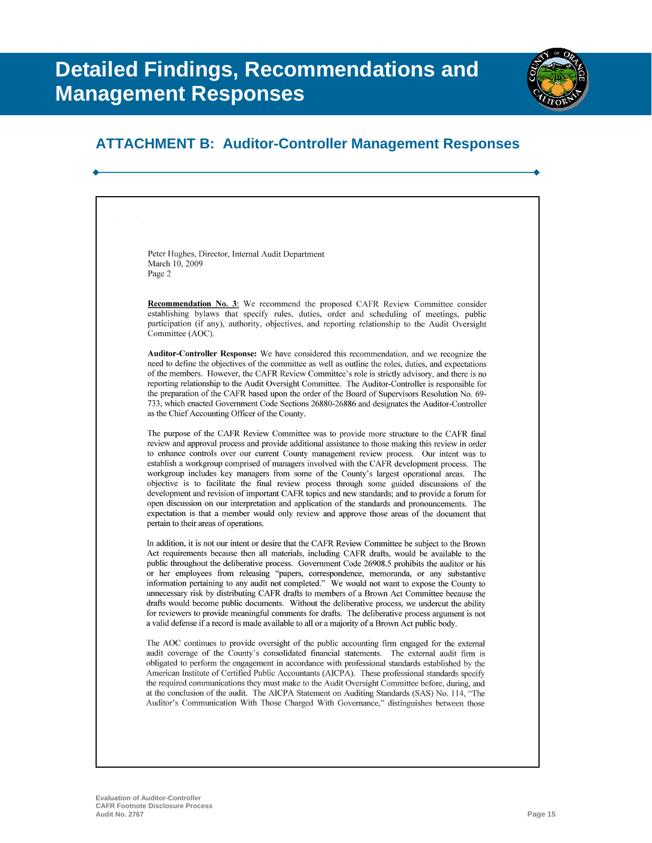

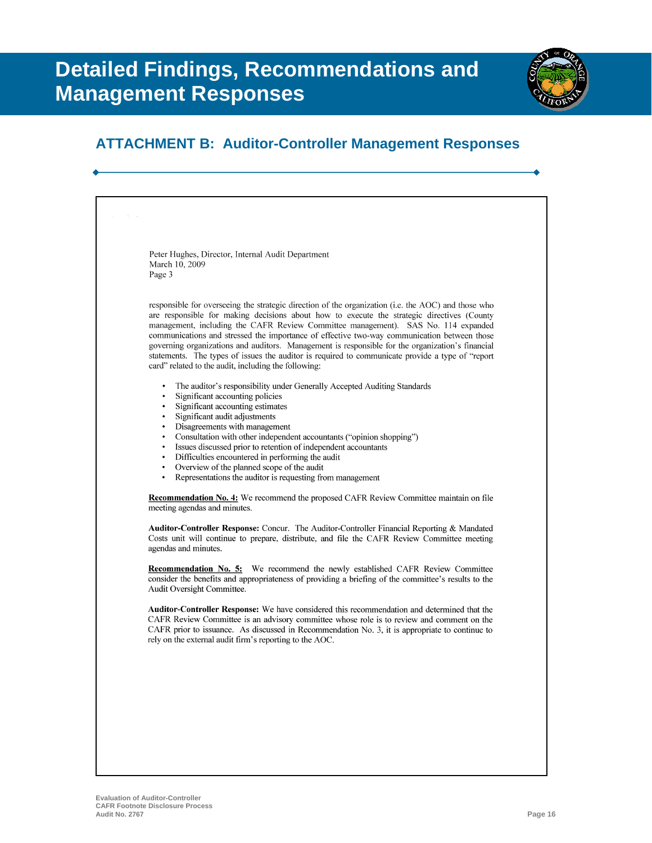